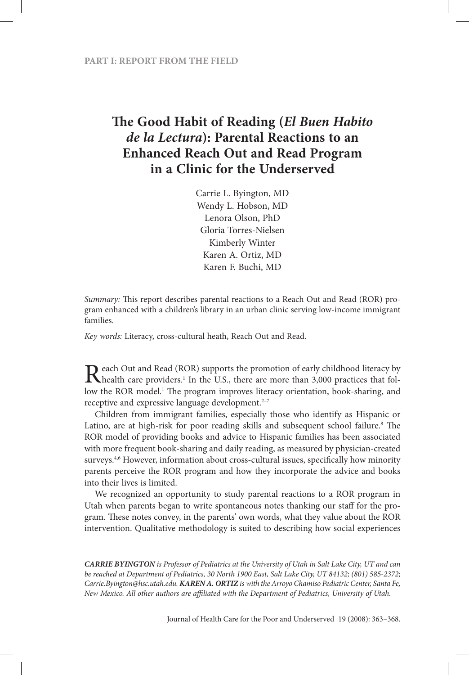## **The Good Habit of Reading (***El Buen Habito de la Lectura***): Parental Reactions to an Enhanced Reach Out and Read Program in a Clinic for the Underserved**

Carrie L. Byington, MD Wendy L. Hobson, MD Lenora Olson, PhD Gloria Torres-Nielsen Kimberly Winter Karen A. Ortiz, MD Karen F. Buchi, MD

*Summary:* This report describes parental reactions to a Reach Out and Read (ROR) program enhanced with a children's library in an urban clinic serving low-income immigrant families.

*Key words:* Literacy, cross-cultural heath, Reach Out and Read.

Reach Out and Read (ROR) supports the promotion of early childhood literacy by health care providers.<sup>1</sup> In the U.S., there are more than 3,000 practices that follow the ROR model.<sup>1</sup> The program improves literacy orientation, book-sharing, and receptive and expressive language development.<sup>2-7</sup>

Children from immigrant families, especially those who identify as Hispanic or Latino, are at high-risk for poor reading skills and subsequent school failure.<sup>8</sup> The ROR model of providing books and advice to Hispanic families has been associated with more frequent book-sharing and daily reading, as measured by physician-created surveys.<sup>4,6</sup> However, information about cross-cultural issues, specifically how minority parents perceive the ROR program and how they incorporate the advice and books into their lives is limited.

We recognized an opportunity to study parental reactions to a ROR program in Utah when parents began to write spontaneous notes thanking our staff for the program. These notes convey, in the parents' own words, what they value about the ROR intervention. Qualitative methodology is suited to describing how social experiences

*Carrie Byington is Professor of Pediatrics at the University of Utah in Salt Lake City, UT and can be reached at Department of Pediatrics, 30 North 1900 East, Salt Lake City, UT 84132; (801) 585-2372; Carrie.Byington@hsc.utah.edu. Karen A. Ortiz is with the Arroyo Chamiso Pediatric Center, Santa Fe, New Mexico. All other authors are affiliated with the Department of Pediatrics, University of Utah.*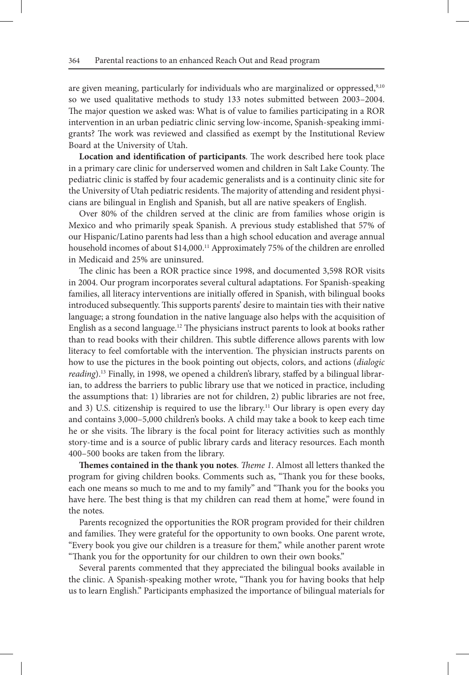are given meaning, particularly for individuals who are marginalized or oppressed,<sup>9,10</sup> so we used qualitative methods to study 133 notes submitted between 2003–2004. The major question we asked was: What is of value to families participating in a ROR intervention in an urban pediatric clinic serving low-income, Spanish-speaking immigrants? The work was reviewed and classified as exempt by the Institutional Review Board at the University of Utah.

**Location and identification of participants**. The work described here took place in a primary care clinic for underserved women and children in Salt Lake County. The pediatric clinic is staffed by four academic generalists and is a continuity clinic site for the University of Utah pediatric residents. The majority of attending and resident physicians are bilingual in English and Spanish, but all are native speakers of English.

Over 80% of the children served at the clinic are from families whose origin is Mexico and who primarily speak Spanish. A previous study established that 57% of our Hispanic/Latino parents had less than a high school education and average annual household incomes of about \$14,000.11 Approximately 75% of the children are enrolled in Medicaid and 25% are uninsured.

The clinic has been a ROR practice since 1998, and documented 3,598 ROR visits in 2004. Our program incorporates several cultural adaptations. For Spanish-speaking families, all literacy interventions are initially offered in Spanish, with bilingual books introduced subsequently. This supports parents' desire to maintain ties with their native language; a strong foundation in the native language also helps with the acquisition of English as a second language.12 The physicians instruct parents to look at books rather than to read books with their children. This subtle difference allows parents with low literacy to feel comfortable with the intervention. The physician instructs parents on how to use the pictures in the book pointing out objects, colors, and actions (*dialogic reading*).13 Finally, in 1998, we opened a children's library, staffed by a bilingual librarian, to address the barriers to public library use that we noticed in practice, including the assumptions that: 1) libraries are not for children, 2) public libraries are not free, and 3) U.S. citizenship is required to use the library.<sup>11</sup> Our library is open every day and contains 3,000–5,000 children's books. A child may take a book to keep each time he or she visits. The library is the focal point for literacy activities such as monthly story-time and is a source of public library cards and literacy resources. Each month 400–500 books are taken from the library.

**Themes contained in the thank you notes**. *Theme 1*. Almost all letters thanked the program for giving children books. Comments such as, "Thank you for these books, each one means so much to me and to my family" and "Thank you for the books you have here. The best thing is that my children can read them at home," were found in the notes*.*

Parents recognized the opportunities the ROR program provided for their children and families. They were grateful for the opportunity to own books. One parent wrote, "Every book you give our children is a treasure for them," while another parent wrote "Thank you for the opportunity for our children to own their own books."

Several parents commented that they appreciated the bilingual books available in the clinic. A Spanish-speaking mother wrote, "Thank you for having books that help us to learn English." Participants emphasized the importance of bilingual materials for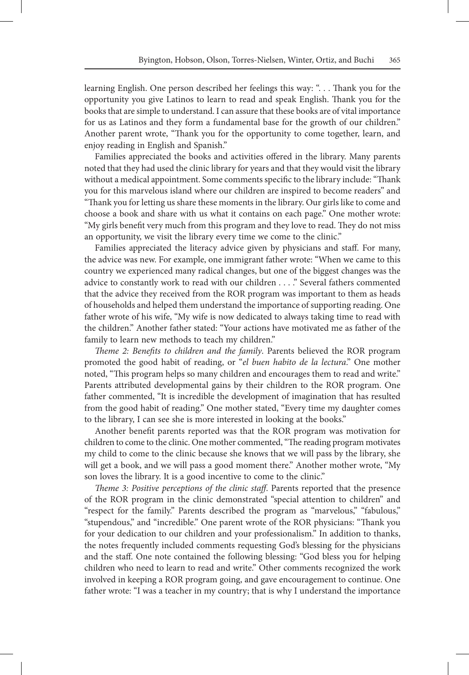learning English. One person described her feelings this way: ". . . Thank you for the opportunity you give Latinos to learn to read and speak English. Thank you for the books that are simple to understand. I can assure that these books are of vital importance for us as Latinos and they form a fundamental base for the growth of our children." Another parent wrote, "Thank you for the opportunity to come together, learn, and enjoy reading in English and Spanish."

Families appreciated the books and activities offered in the library. Many parents noted that they had used the clinic library for years and that they would visit the library without a medical appointment. Some comments specific to the library include: "Thank you for this marvelous island where our children are inspired to become readers" and "Thank you for letting us share these moments in the library. Our girls like to come and choose a book and share with us what it contains on each page." One mother wrote: "My girls benefit very much from this program and they love to read. They do not miss an opportunity, we visit the library every time we come to the clinic."

Families appreciated the literacy advice given by physicians and staff. For many, the advice was new. For example, one immigrant father wrote: "When we came to this country we experienced many radical changes, but one of the biggest changes was the advice to constantly work to read with our children . . . ." Several fathers commented that the advice they received from the ROR program was important to them as heads of households and helped them understand the importance of supporting reading. One father wrote of his wife, "My wife is now dedicated to always taking time to read with the children." Another father stated: "Your actions have motivated me as father of the family to learn new methods to teach my children."

*Theme 2: Benefits to children and the family*. Parents believed the ROR program promoted the good habit of reading, or "*el buen habito de la lectura*." One mother noted, "This program helps so many children and encourages them to read and write." Parents attributed developmental gains by their children to the ROR program. One father commented, "It is incredible the development of imagination that has resulted from the good habit of reading." One mother stated, "Every time my daughter comes to the library, I can see she is more interested in looking at the books."

Another benefit parents reported was that the ROR program was motivation for children to come to the clinic. One mother commented, "The reading program motivates my child to come to the clinic because she knows that we will pass by the library, she will get a book, and we will pass a good moment there." Another mother wrote, "My son loves the library. It is a good incentive to come to the clinic."

*Theme 3: Positive perceptions of the clinic staff*. Parents reported that the presence of the ROR program in the clinic demonstrated "special attention to children" and "respect for the family." Parents described the program as "marvelous," "fabulous," "stupendous," and "incredible." One parent wrote of the ROR physicians: "Thank you for your dedication to our children and your professionalism." In addition to thanks, the notes frequently included comments requesting God's blessing for the physicians and the staff. One note contained the following blessing: "God bless you for helping children who need to learn to read and write." Other comments recognized the work involved in keeping a ROR program going, and gave encouragement to continue. One father wrote: "I was a teacher in my country; that is why I understand the importance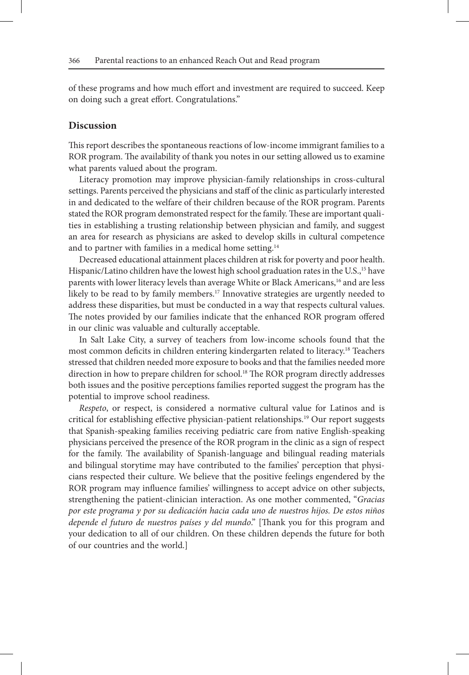of these programs and how much effort and investment are required to succeed. Keep on doing such a great effort. Congratulations."

## **Discussion**

This report describes the spontaneous reactions of low-income immigrant families to a ROR program. The availability of thank you notes in our setting allowed us to examine what parents valued about the program.

Literacy promotion may improve physician-family relationships in cross-cultural settings. Parents perceived the physicians and staff of the clinic as particularly interested in and dedicated to the welfare of their children because of the ROR program. Parents stated the ROR program demonstrated respect for the family. These are important qualities in establishing a trusting relationship between physician and family, and suggest an area for research as physicians are asked to develop skills in cultural competence and to partner with families in a medical home setting.<sup>14</sup>

Decreased educational attainment places children at risk for poverty and poor health. Hispanic/Latino children have the lowest high school graduation rates in the U.S.,<sup>15</sup> have parents with lower literacy levels than average White or Black Americans,<sup>16</sup> and are less likely to be read to by family members.<sup>17</sup> Innovative strategies are urgently needed to address these disparities, but must be conducted in a way that respects cultural values. The notes provided by our families indicate that the enhanced ROR program offered in our clinic was valuable and culturally acceptable.

In Salt Lake City, a survey of teachers from low-income schools found that the most common deficits in children entering kindergarten related to literacy.18 Teachers stressed that children needed more exposure to books and that the families needed more direction in how to prepare children for school.<sup>18</sup> The ROR program directly addresses both issues and the positive perceptions families reported suggest the program has the potential to improve school readiness.

*Respeto*, or respect, is considered a normative cultural value for Latinos and is critical for establishing effective physician-patient relationships.19 Our report suggests that Spanish-speaking families receiving pediatric care from native English-speaking physicians perceived the presence of the ROR program in the clinic as a sign of respect for the family. The availability of Spanish-language and bilingual reading materials and bilingual storytime may have contributed to the families' perception that physicians respected their culture. We believe that the positive feelings engendered by the ROR program may influence families' willingness to accept advice on other subjects, strengthening the patient-clinician interaction. As one mother commented, "*Gracias por este programa y por su dedicación hacia cada uno de nuestros hijos. De estos niños depende el futuro de nuestros países y del mundo*." [Thank you for this program and your dedication to all of our children. On these children depends the future for both of our countries and the world.]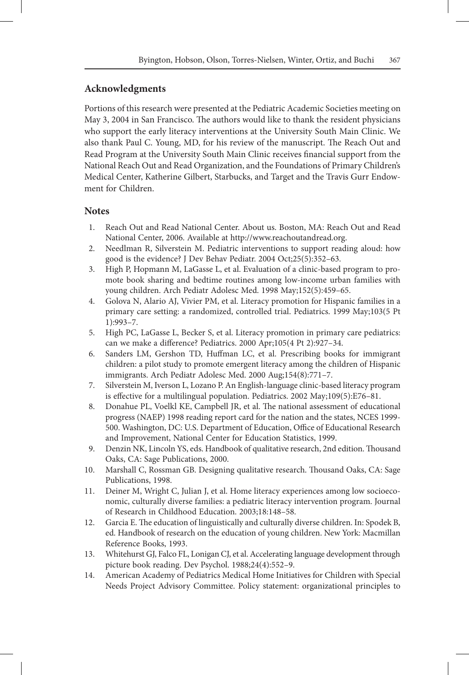## **Acknowledgments**

Portions of this research were presented at the Pediatric Academic Societies meeting on May 3, 2004 in San Francisco. The authors would like to thank the resident physicians who support the early literacy interventions at the University South Main Clinic. We also thank Paul C. Young, MD, for his review of the manuscript. The Reach Out and Read Program at the University South Main Clinic receives financial support from the National Reach Out and Read Organization, and the Foundations of Primary Children's Medical Center, Katherine Gilbert, Starbucks, and Target and the Travis Gurr Endowment for Children.

## **Notes**

- 1. Reach Out and Read National Center. About us. Boston, MA: Reach Out and Read National Center, 2006. Available at http://www.reachoutandread.org.
- 2. Needlman R, Silverstein M. Pediatric interventions to support reading aloud: how good is the evidence? J Dev Behav Pediatr. 2004 Oct;25(5):352–63.
- 3. High P, Hopmann M, LaGasse L, et al. Evaluation of a clinic-based program to promote book sharing and bedtime routines among low-income urban families with young children. Arch Pediatr Adolesc Med. 1998 May;152(5):459–65.
- 4. Golova N, Alario AJ, Vivier PM, et al. Literacy promotion for Hispanic families in a primary care setting: a randomized, controlled trial. Pediatrics. 1999 May;103(5 Pt 1):993–7.
- 5. High PC, LaGasse L, Becker S, et al. Literacy promotion in primary care pediatrics: can we make a difference? Pediatrics. 2000 Apr;105(4 Pt 2):927–34.
- 6. Sanders LM, Gershon TD, Huffman LC, et al. Prescribing books for immigrant children: a pilot study to promote emergent literacy among the children of Hispanic immigrants. Arch Pediatr Adolesc Med. 2000 Aug;154(8):771–7.
- 7. Silverstein M, Iverson L, Lozano P. An English-language clinic-based literacy program is effective for a multilingual population. Pediatrics. 2002 May;109(5):E76–81.
- 8. Donahue PL, Voelkl KE, Campbell JR, et al. The national assessment of educational progress (NAEP) 1998 reading report card for the nation and the states, NCES 1999- 500. Washington, DC: U.S. Department of Education, Office of Educational Research and Improvement, National Center for Education Statistics, 1999.
- 9. Denzin NK, Lincoln YS, eds. Handbook of qualitative research, 2nd edition. Thousand Oaks, CA: Sage Publications, 2000.
- 10. Marshall C, Rossman GB. Designing qualitative research. Thousand Oaks, CA: Sage Publications, 1998.
- 11. Deiner M, Wright C, Julian J, et al. Home literacy experiences among low socioeconomic, culturally diverse families: a pediatric literacy intervention program. Journal of Research in Childhood Education. 2003;18:148–58.
- 12. Garcia E. The education of linguistically and culturally diverse children. In: Spodek B, ed. Handbook of research on the education of young children. New York: Macmillan Reference Books, 1993.
- 13. Whitehurst GJ, Falco FL, Lonigan CJ, et al. Accelerating language development through picture book reading. Dev Psychol. 1988;24(4):552–9.
- 14. American Academy of Pediatrics Medical Home Initiatives for Children with Special Needs Project Advisory Committee. Policy statement: organizational principles to